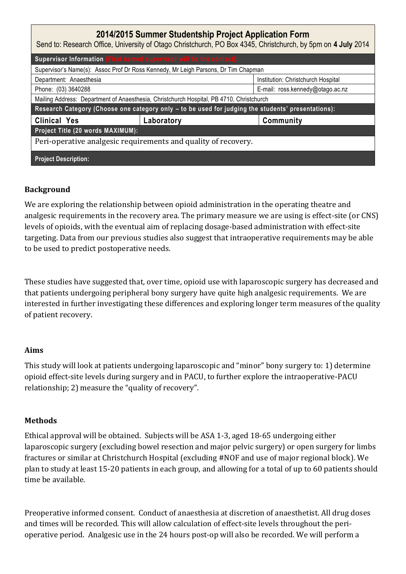| 2014/2015 Summer Studentship Project Application Form<br>Send to: Research Office, University of Otago Christchurch, PO Box 4345, Christchurch, by 5pm on 4 July 2014 |            |                                    |
|-----------------------------------------------------------------------------------------------------------------------------------------------------------------------|------------|------------------------------------|
| Supervisor Information (First named supervisor will be the contact):                                                                                                  |            |                                    |
| Supervisor's Name(s): Assoc Prof Dr Ross Kennedy, Mr Leigh Parsons, Dr Tim Chapman                                                                                    |            |                                    |
| Department: Anaesthesia                                                                                                                                               |            | Institution: Christchurch Hospital |
| Phone: (03) 3640288                                                                                                                                                   |            | E-mail: ross.kennedy@otago.ac.nz   |
| Mailing Address: Department of Anaesthesia, Christchurch Hospital, PB 4710, Christchurch                                                                              |            |                                    |
| Research Category (Choose one category only - to be used for judging the students' presentations):                                                                    |            |                                    |
| <b>Clinical Yes</b>                                                                                                                                                   | Laboratory | Community                          |
| Project Title (20 words MAXIMUM):                                                                                                                                     |            |                                    |
| Peri-operative analgesic requirements and quality of recovery.                                                                                                        |            |                                    |
| <b>Project Description:</b>                                                                                                                                           |            |                                    |

## **nal Carcinomas and Abdominal Aortic Aneurysm n between Renal Carcinomas and Abdominal Background**

We are exploring the relationship between opioid administration in the operating theatre and analgesic requirements in the recovery area. The primary measure we are using is effect-site (or CNS) levels of opioids, with the eventual aim of replacing dosage-based administration with effect-site targeting. Data from our previous studies also suggest that intraoperative requirements may be able to be used to predict postoperative needs.

These studies have suggested that, over time, opioid use with laparoscopic surgery has decreased and that patients undergoing peripheral bony surgery have quite high analgesic requirements. We are interested in further investigating these differences and exploring longer term measures of the quality of patient recovery.

## **Aims**

This study will look at patients undergoing laparoscopic and "minor" bony surgery to: 1) determine opioid effect-site levels during surgery and in PACU, to further explore the intraoperative-PACU relationship; 2) measure the "quality of recovery".

## **Methods**

Ethical approval will be obtained. Subjects will be ASA 1-3, aged 18-65 undergoing either laparoscopic surgery (excluding bowel resection and major pelvic surgery) or open surgery for limbs fractures or similar at Christchurch Hospital (excluding #NOF and use of major regional block). We plan to study at least 15-20 patients in each group, and allowing for a total of up to 60 patients should time be available.

Preoperative informed consent. Conduct of anaesthesia at discretion of anaesthetist. All drug doses and times will be recorded. This will allow calculation of effect-site levels throughout the perioperative period. Analgesic use in the 24 hours post-op will also be recorded. We will perform a